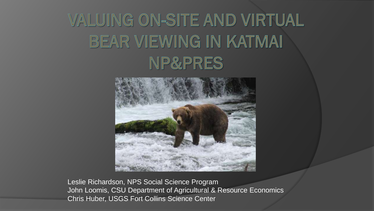# VALUING ON-SITE AND VIRTUAL BEAR VIEWING IN KATMAI NP&PRES



Leslie Richardson, NPS Social Science Program John Loomis, CSU Department of Agricultural & Resource Economics Chris Huber, USGS Fort Collins Science Center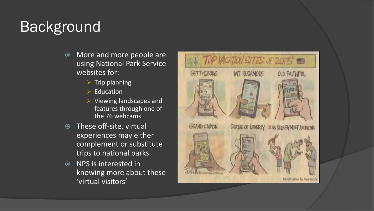# **Background**

- More and more people are using National Park Service websites for:
	- $\triangleright$  Trip planning
	- $\triangleright$  Education
	- $\triangleright$  Viewing landscapes and features through one of the 76 webcams
- **These off-site, virtual** experiences may either complement or substitute trips to national parks
- NPS is interested in knowing more about these 'virtual visitors'

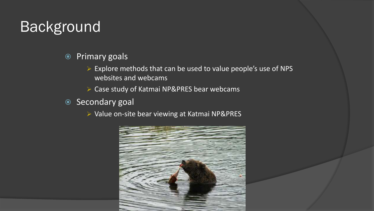# Background

- Primary goals
	- $\triangleright$  Explore methods that can be used to value people's use of NPS websites and webcams
	- ▶ Case study of Katmai NP&PRES bear webcams
- Secondary goal
	- Value on-site bear viewing at Katmai NP&PRES

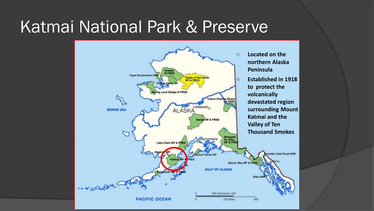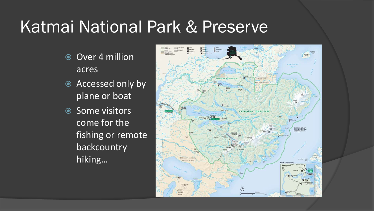- **◎ Over 4 million** acres
- Accessed only by plane or boat
- **Some visitors** come for the fishing or remote backcountry hiking…

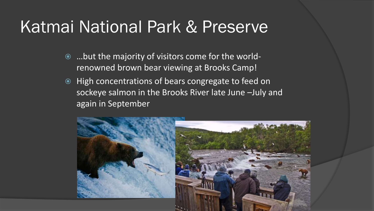- …but the majority of visitors come for the worldrenowned brown bear viewing at Brooks Camp!
- High concentrations of bears congregate to feed on sockeye salmon in the Brooks River late June –July and again in September

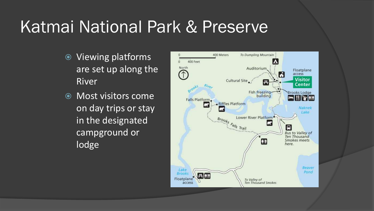- Viewing platforms are set up along the River
- Most visitors come on day trips or stay in the designated campground or lodge

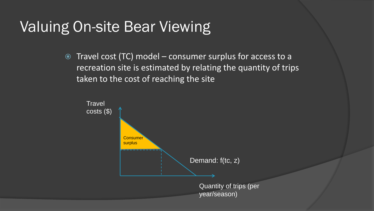Travel cost (TC) model – consumer surplus for access to a recreation site is estimated by relating the quantity of trips taken to the cost of reaching the site

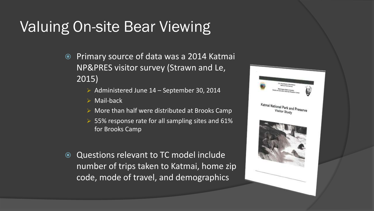- Primary source of data was a 2014 Katmai NP&PRES visitor survey (Strawn and Le, 2015)
	- Administered June  $14$  September 30, 2014
	- $\triangleright$  Mail-back
	- $\triangleright$  More than half were distributed at Brooks Camp
	- $>$  55% response rate for all sampling sites and 61% for Brooks Camp
- Questions relevant to TC model include number of trips taken to Katmai, home zip code, mode of travel, and demographics

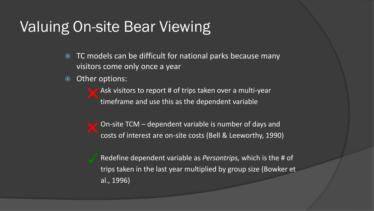- TC models can be difficult for national parks because many visitors come only once a year
- Other options:

Ask visitors to report # of trips taken over a multi-year timeframe and use this as the dependent variable

On-site TCM – dependent variable is number of days and costs of interest are on-site costs (Bell & Leeworthy, 1990)

Redefine dependent variable as *Persontrips,* which is the # of trips taken in the last year multiplied by group size (Bowker et al., 1996)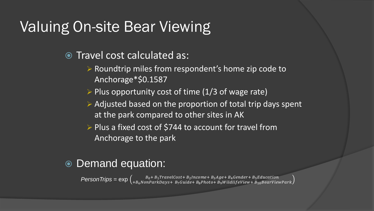- Travel cost calculated as:
	- $\triangleright$  Roundtrip miles from respondent's home zip code to Anchorage\*\$0.1587
	- $\triangleright$  Plus opportunity cost of time (1/3 of wage rate)
	- $\triangleright$  Adjusted based on the proportion of total trip days spent at the park compared to other sites in AK
	- $\triangleright$  Plus a fixed cost of \$744 to account for travel from Anchorage to the park

#### Demand equation:

 $Person$   $Trips = exp \left( \frac{B_0 + B_1 TravelCost + B_2 Income + B_3Age + B_4Generator + B_5 Education}{+ B_6 NonParkDays + B_7 Guide + B_8 Photo + B_9 WildlifeView + B_{10} BearViewPark} \right)$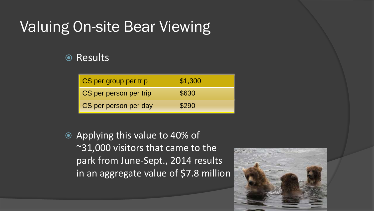#### **◎ Results**

| CS per group per trip  | \$1,300 |
|------------------------|---------|
| CS per person per trip | \$630   |
| CS per person per day  | \$290   |

 Applying this value to 40% of ~31,000 visitors that came to the park from June-Sept., 2014 results, in an aggregate value of \$7.8 million

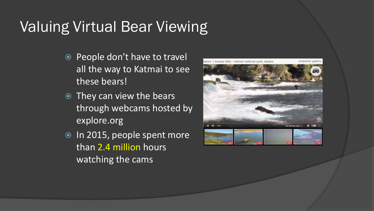### Valuing Virtual Bear Viewing

- People don't have to travel all the way to Katmai to see these bears!
- They can view the bears through webcams hosted by explore.org
- <sup>O</sup> In 2015, people spent more than 2.4 million hours watching the cams

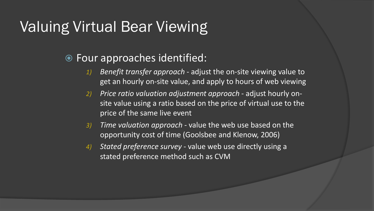### Valuing Virtual Bear Viewing

#### Four approaches identified:

- *1) Benefit transfer approach*  adjust the on-site viewing value to get an hourly on-site value, and apply to hours of web viewing
- *2) Price ratio valuation adjustment approach*  adjust hourly onsite value using a ratio based on the price of virtual use to the price of the same live event
- *3) Time valuation approach -* value the web use based on the opportunity cost of time (Goolsbee and Klenow, 2006)
- *4) Stated preference survey -* value web use directly using a stated preference method such as CVM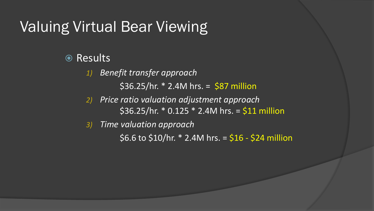# Valuing Virtual Bear Viewing

#### **◎ Results**

*1) Benefit transfer approach*  $$36.25/hr. * 2.4M hrs. = $87 million$ 

*2) Price ratio valuation adjustment approach*   $$36.25/hr. * 0.125 * 2.4M hrs. = $11 million$ 

*3) Time valuation approach*

 $$6.6$$  to  $$10/hr.$  \* 2.4M hrs. =  $$16 - $24$  million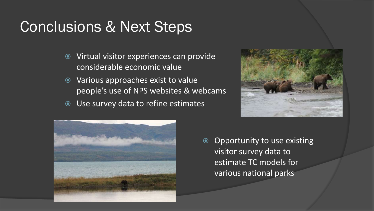# Conclusions & Next Steps

- Virtual visitor experiences can provide considerable economic value
- Various approaches exist to value people's use of NPS websites & webcams
- Use survey data to refine estimates





**◎** Opportunity to use existing visitor survey data to estimate TC models for various national parks